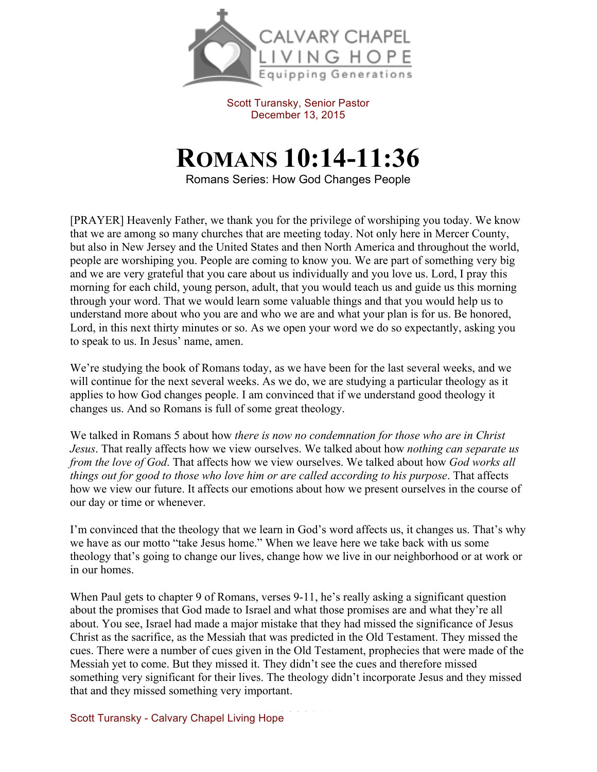

Scott Turansky, Senior Pastor December 13, 2015

## **ROMANS 10:14-11:36**

Romans Series: How God Changes People

[PRAYER] Heavenly Father, we thank you for the privilege of worshiping you today. We know that we are among so many churches that are meeting today. Not only here in Mercer County, but also in New Jersey and the United States and then North America and throughout the world, people are worshiping you. People are coming to know you. We are part of something very big and we are very grateful that you care about us individually and you love us. Lord, I pray this morning for each child, young person, adult, that you would teach us and guide us this morning through your word. That we would learn some valuable things and that you would help us to understand more about who you are and who we are and what your plan is for us. Be honored, Lord, in this next thirty minutes or so. As we open your word we do so expectantly, asking you to speak to us. In Jesus' name, amen.

We're studying the book of Romans today, as we have been for the last several weeks, and we will continue for the next several weeks. As we do, we are studying a particular theology as it applies to how God changes people. I am convinced that if we understand good theology it changes us. And so Romans is full of some great theology.

We talked in Romans 5 about how *there is now no condemnation for those who are in Christ Jesus*. That really affects how we view ourselves. We talked about how *nothing can separate us from the love of God*. That affects how we view ourselves. We talked about how *God works all things out for good to those who love him or are called according to his purpose*. That affects how we view our future. It affects our emotions about how we present ourselves in the course of our day or time or whenever.

I'm convinced that the theology that we learn in God's word affects us, it changes us. That's why we have as our motto "take Jesus home." When we leave here we take back with us some theology that's going to change our lives, change how we live in our neighborhood or at work or in our homes.

When Paul gets to chapter 9 of Romans, verses 9-11, he's really asking a significant question about the promises that God made to Israel and what those promises are and what they're all about. You see, Israel had made a major mistake that they had missed the significance of Jesus Christ as the sacrifice, as the Messiah that was predicted in the Old Testament. They missed the cues. There were a number of cues given in the Old Testament, prophecies that were made of the Messiah yet to come. But they missed it. They didn't see the cues and therefore missed something very significant for their lives. The theology didn't incorporate Jesus and they missed that and they missed something very important.

Scott Turansky - Calvary Chapel Living Hope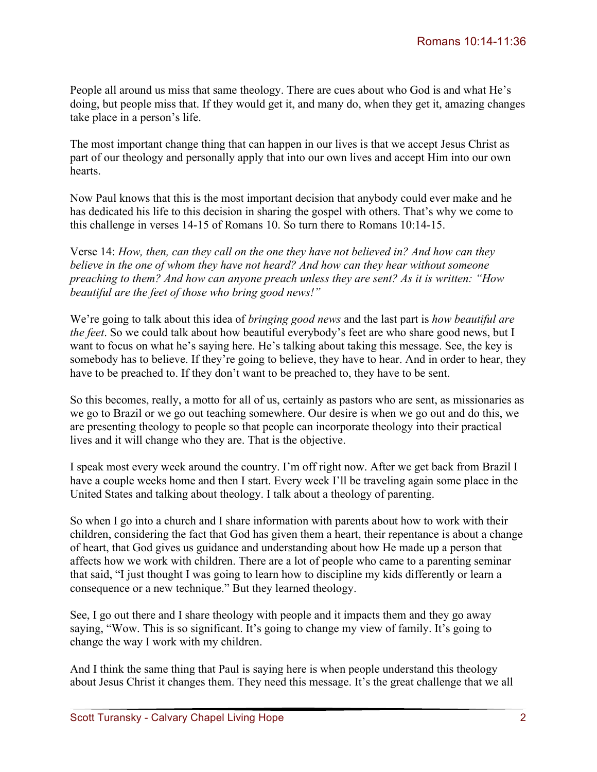People all around us miss that same theology. There are cues about who God is and what He's doing, but people miss that. If they would get it, and many do, when they get it, amazing changes take place in a person's life.

The most important change thing that can happen in our lives is that we accept Jesus Christ as part of our theology and personally apply that into our own lives and accept Him into our own hearts.

Now Paul knows that this is the most important decision that anybody could ever make and he has dedicated his life to this decision in sharing the gospel with others. That's why we come to this challenge in verses 14-15 of Romans 10. So turn there to Romans 10:14-15.

Verse 14: *How, then, can they call on the one they have not believed in? And how can they believe in the one of whom they have not heard? And how can they hear without someone preaching to them? And how can anyone preach unless they are sent? As it is written: "How beautiful are the feet of those who bring good news!"*

We're going to talk about this idea of *bringing good news* and the last part is *how beautiful are the feet*. So we could talk about how beautiful everybody's feet are who share good news, but I want to focus on what he's saying here. He's talking about taking this message. See, the key is somebody has to believe. If they're going to believe, they have to hear. And in order to hear, they have to be preached to. If they don't want to be preached to, they have to be sent.

So this becomes, really, a motto for all of us, certainly as pastors who are sent, as missionaries as we go to Brazil or we go out teaching somewhere. Our desire is when we go out and do this, we are presenting theology to people so that people can incorporate theology into their practical lives and it will change who they are. That is the objective.

I speak most every week around the country. I'm off right now. After we get back from Brazil I have a couple weeks home and then I start. Every week I'll be traveling again some place in the United States and talking about theology. I talk about a theology of parenting.

So when I go into a church and I share information with parents about how to work with their children, considering the fact that God has given them a heart, their repentance is about a change of heart, that God gives us guidance and understanding about how He made up a person that affects how we work with children. There are a lot of people who came to a parenting seminar that said, "I just thought I was going to learn how to discipline my kids differently or learn a consequence or a new technique." But they learned theology.

See, I go out there and I share theology with people and it impacts them and they go away saying, "Wow. This is so significant. It's going to change my view of family. It's going to change the way I work with my children.

And I think the same thing that Paul is saying here is when people understand this theology about Jesus Christ it changes them. They need this message. It's the great challenge that we all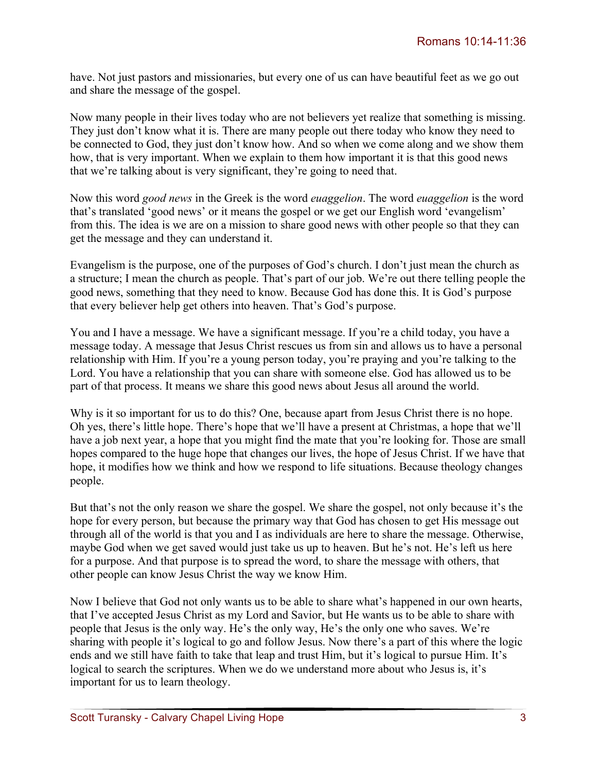have. Not just pastors and missionaries, but every one of us can have beautiful feet as we go out and share the message of the gospel.

Now many people in their lives today who are not believers yet realize that something is missing. They just don't know what it is. There are many people out there today who know they need to be connected to God, they just don't know how. And so when we come along and we show them how, that is very important. When we explain to them how important it is that this good news that we're talking about is very significant, they're going to need that.

Now this word *good news* in the Greek is the word *euaggelion*. The word *euaggelion* is the word that's translated 'good news' or it means the gospel or we get our English word 'evangelism' from this. The idea is we are on a mission to share good news with other people so that they can get the message and they can understand it.

Evangelism is the purpose, one of the purposes of God's church. I don't just mean the church as a structure; I mean the church as people. That's part of our job. We're out there telling people the good news, something that they need to know. Because God has done this. It is God's purpose that every believer help get others into heaven. That's God's purpose.

You and I have a message. We have a significant message. If you're a child today, you have a message today. A message that Jesus Christ rescues us from sin and allows us to have a personal relationship with Him. If you're a young person today, you're praying and you're talking to the Lord. You have a relationship that you can share with someone else. God has allowed us to be part of that process. It means we share this good news about Jesus all around the world.

Why is it so important for us to do this? One, because apart from Jesus Christ there is no hope. Oh yes, there's little hope. There's hope that we'll have a present at Christmas, a hope that we'll have a job next year, a hope that you might find the mate that you're looking for. Those are small hopes compared to the huge hope that changes our lives, the hope of Jesus Christ. If we have that hope, it modifies how we think and how we respond to life situations. Because theology changes people.

But that's not the only reason we share the gospel. We share the gospel, not only because it's the hope for every person, but because the primary way that God has chosen to get His message out through all of the world is that you and I as individuals are here to share the message. Otherwise, maybe God when we get saved would just take us up to heaven. But he's not. He's left us here for a purpose. And that purpose is to spread the word, to share the message with others, that other people can know Jesus Christ the way we know Him.

Now I believe that God not only wants us to be able to share what's happened in our own hearts, that I've accepted Jesus Christ as my Lord and Savior, but He wants us to be able to share with people that Jesus is the only way. He's the only way, He's the only one who saves. We're sharing with people it's logical to go and follow Jesus. Now there's a part of this where the logic ends and we still have faith to take that leap and trust Him, but it's logical to pursue Him. It's logical to search the scriptures. When we do we understand more about who Jesus is, it's important for us to learn theology.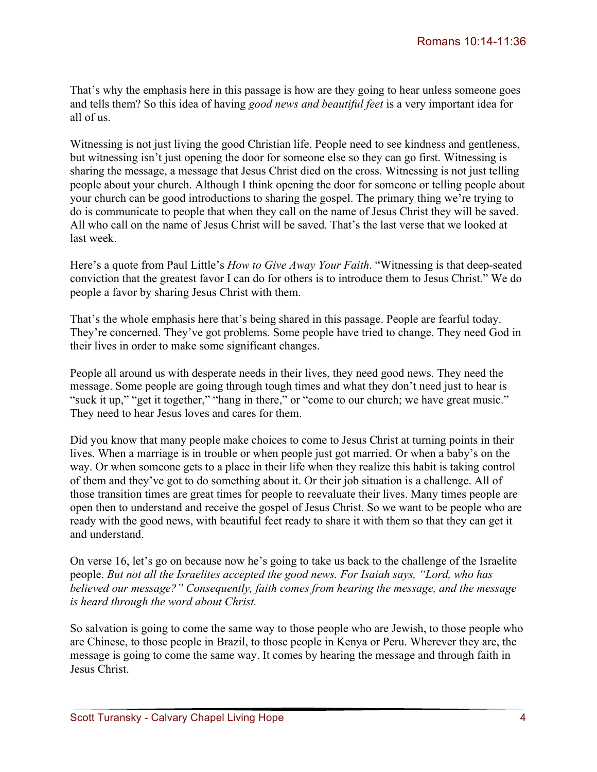That's why the emphasis here in this passage is how are they going to hear unless someone goes and tells them? So this idea of having *good news and beautiful feet* is a very important idea for all of us.

Witnessing is not just living the good Christian life. People need to see kindness and gentleness, but witnessing isn't just opening the door for someone else so they can go first. Witnessing is sharing the message, a message that Jesus Christ died on the cross. Witnessing is not just telling people about your church. Although I think opening the door for someone or telling people about your church can be good introductions to sharing the gospel. The primary thing we're trying to do is communicate to people that when they call on the name of Jesus Christ they will be saved. All who call on the name of Jesus Christ will be saved. That's the last verse that we looked at last week.

Here's a quote from Paul Little's *How to Give Away Your Faith*. "Witnessing is that deep-seated conviction that the greatest favor I can do for others is to introduce them to Jesus Christ." We do people a favor by sharing Jesus Christ with them.

That's the whole emphasis here that's being shared in this passage. People are fearful today. They're concerned. They've got problems. Some people have tried to change. They need God in their lives in order to make some significant changes.

People all around us with desperate needs in their lives, they need good news. They need the message. Some people are going through tough times and what they don't need just to hear is "suck it up," "get it together," "hang in there," or "come to our church; we have great music." They need to hear Jesus loves and cares for them.

Did you know that many people make choices to come to Jesus Christ at turning points in their lives. When a marriage is in trouble or when people just got married. Or when a baby's on the way. Or when someone gets to a place in their life when they realize this habit is taking control of them and they've got to do something about it. Or their job situation is a challenge. All of those transition times are great times for people to reevaluate their lives. Many times people are open then to understand and receive the gospel of Jesus Christ. So we want to be people who are ready with the good news, with beautiful feet ready to share it with them so that they can get it and understand.

On verse 16, let's go on because now he's going to take us back to the challenge of the Israelite people. *But not all the Israelites accepted the good news. For Isaiah says, "Lord, who has believed our message?" Consequently, faith comes from hearing the message, and the message is heard through the word about Christ.*

So salvation is going to come the same way to those people who are Jewish, to those people who are Chinese, to those people in Brazil, to those people in Kenya or Peru. Wherever they are, the message is going to come the same way. It comes by hearing the message and through faith in Jesus Christ.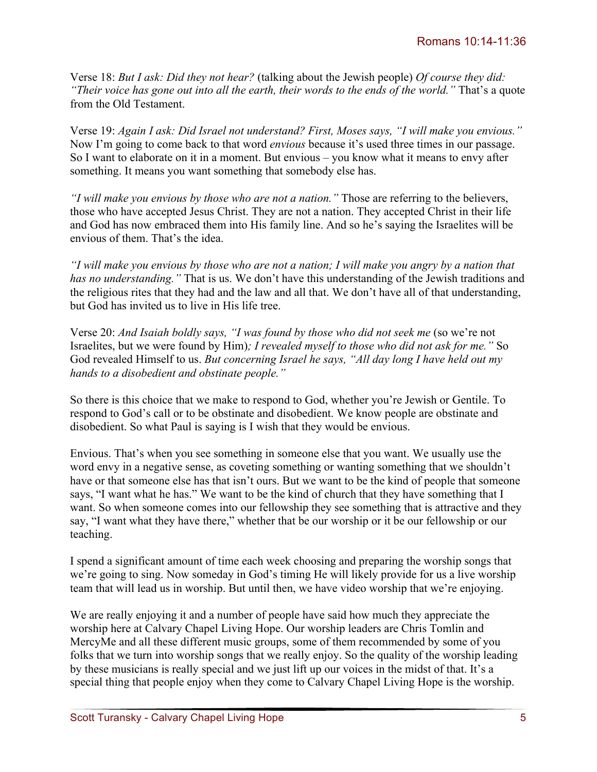Verse 18: *But I ask: Did they not hear?* (talking about the Jewish people) *Of course they did: "Their voice has gone out into all the earth, their words to the ends of the world."* That's a quote from the Old Testament.

Verse 19: *Again I ask: Did Israel not understand? First, Moses says, "I will make you envious."* Now I'm going to come back to that word *envious* because it's used three times in our passage. So I want to elaborate on it in a moment. But envious – you know what it means to envy after something. It means you want something that somebody else has.

*"I will make you envious by those who are not a nation."* Those are referring to the believers, those who have accepted Jesus Christ. They are not a nation. They accepted Christ in their life and God has now embraced them into His family line. And so he's saying the Israelites will be envious of them. That's the idea.

*"I will make you envious by those who are not a nation; I will make you angry by a nation that has no understanding."* That is us. We don't have this understanding of the Jewish traditions and the religious rites that they had and the law and all that. We don't have all of that understanding, but God has invited us to live in His life tree.

Verse 20: *And Isaiah boldly says, "I was found by those who did not seek me* (so we're not Israelites, but we were found by Him)*; I revealed myself to those who did not ask for me."* So God revealed Himself to us. *But concerning Israel he says, "All day long I have held out my hands to a disobedient and obstinate people."*

So there is this choice that we make to respond to God, whether you're Jewish or Gentile. To respond to God's call or to be obstinate and disobedient. We know people are obstinate and disobedient. So what Paul is saying is I wish that they would be envious.

Envious. That's when you see something in someone else that you want. We usually use the word envy in a negative sense, as coveting something or wanting something that we shouldn't have or that someone else has that isn't ours. But we want to be the kind of people that someone says, "I want what he has." We want to be the kind of church that they have something that I want. So when someone comes into our fellowship they see something that is attractive and they say, "I want what they have there," whether that be our worship or it be our fellowship or our teaching.

I spend a significant amount of time each week choosing and preparing the worship songs that we're going to sing. Now someday in God's timing He will likely provide for us a live worship team that will lead us in worship. But until then, we have video worship that we're enjoying.

We are really enjoying it and a number of people have said how much they appreciate the worship here at Calvary Chapel Living Hope. Our worship leaders are Chris Tomlin and MercyMe and all these different music groups, some of them recommended by some of you folks that we turn into worship songs that we really enjoy. So the quality of the worship leading by these musicians is really special and we just lift up our voices in the midst of that. It's a special thing that people enjoy when they come to Calvary Chapel Living Hope is the worship.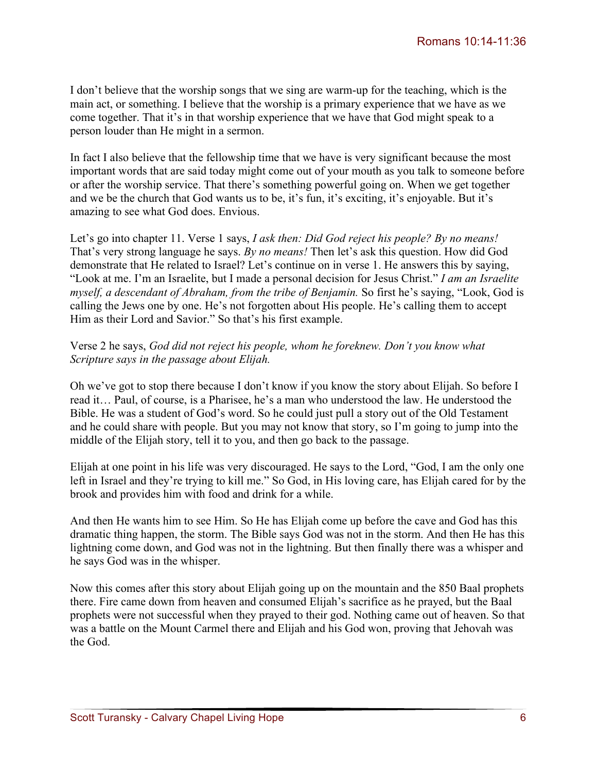I don't believe that the worship songs that we sing are warm-up for the teaching, which is the main act, or something. I believe that the worship is a primary experience that we have as we come together. That it's in that worship experience that we have that God might speak to a person louder than He might in a sermon.

In fact I also believe that the fellowship time that we have is very significant because the most important words that are said today might come out of your mouth as you talk to someone before or after the worship service. That there's something powerful going on. When we get together and we be the church that God wants us to be, it's fun, it's exciting, it's enjoyable. But it's amazing to see what God does. Envious.

Let's go into chapter 11. Verse 1 says, *I ask then: Did God reject his people? By no means!*  That's very strong language he says. *By no means!* Then let's ask this question. How did God demonstrate that He related to Israel? Let's continue on in verse 1. He answers this by saying, "Look at me. I'm an Israelite, but I made a personal decision for Jesus Christ." *I am an Israelite myself, a descendant of Abraham, from the tribe of Benjamin.* So first he's saying, "Look, God is calling the Jews one by one. He's not forgotten about His people. He's calling them to accept Him as their Lord and Savior." So that's his first example.

## Verse 2 he says, *God did not reject his people, whom he foreknew. Don't you know what Scripture says in the passage about Elijah.*

Oh we've got to stop there because I don't know if you know the story about Elijah. So before I read it… Paul, of course, is a Pharisee, he's a man who understood the law. He understood the Bible. He was a student of God's word. So he could just pull a story out of the Old Testament and he could share with people. But you may not know that story, so I'm going to jump into the middle of the Elijah story, tell it to you, and then go back to the passage.

Elijah at one point in his life was very discouraged. He says to the Lord, "God, I am the only one left in Israel and they're trying to kill me." So God, in His loving care, has Elijah cared for by the brook and provides him with food and drink for a while.

And then He wants him to see Him. So He has Elijah come up before the cave and God has this dramatic thing happen, the storm. The Bible says God was not in the storm. And then He has this lightning come down, and God was not in the lightning. But then finally there was a whisper and he says God was in the whisper.

Now this comes after this story about Elijah going up on the mountain and the 850 Baal prophets there. Fire came down from heaven and consumed Elijah's sacrifice as he prayed, but the Baal prophets were not successful when they prayed to their god. Nothing came out of heaven. So that was a battle on the Mount Carmel there and Elijah and his God won, proving that Jehovah was the God.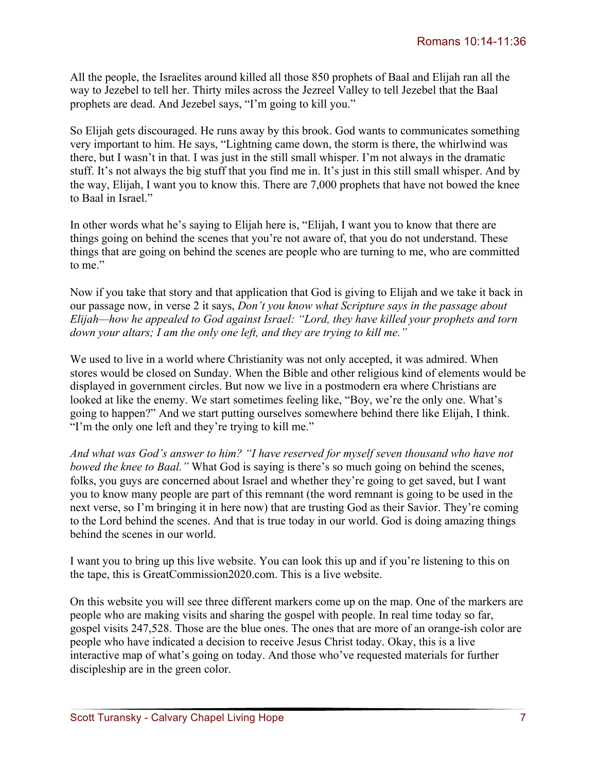All the people, the Israelites around killed all those 850 prophets of Baal and Elijah ran all the way to Jezebel to tell her. Thirty miles across the Jezreel Valley to tell Jezebel that the Baal prophets are dead. And Jezebel says, "I'm going to kill you."

So Elijah gets discouraged. He runs away by this brook. God wants to communicates something very important to him. He says, "Lightning came down, the storm is there, the whirlwind was there, but I wasn't in that. I was just in the still small whisper. I'm not always in the dramatic stuff. It's not always the big stuff that you find me in. It's just in this still small whisper. And by the way, Elijah, I want you to know this. There are 7,000 prophets that have not bowed the knee to Baal in Israel."

In other words what he's saying to Elijah here is, "Elijah, I want you to know that there are things going on behind the scenes that you're not aware of, that you do not understand. These things that are going on behind the scenes are people who are turning to me, who are committed to me"

Now if you take that story and that application that God is giving to Elijah and we take it back in our passage now, in verse 2 it says, *Don't you know what Scripture says in the passage about Elijah—how he appealed to God against Israel: "Lord, they have killed your prophets and torn down your altars; I am the only one left, and they are trying to kill me."* 

We used to live in a world where Christianity was not only accepted, it was admired. When stores would be closed on Sunday. When the Bible and other religious kind of elements would be displayed in government circles. But now we live in a postmodern era where Christians are looked at like the enemy. We start sometimes feeling like, "Boy, we're the only one. What's going to happen?" And we start putting ourselves somewhere behind there like Elijah, I think. "I'm the only one left and they're trying to kill me."

*And what was God's answer to him? "I have reserved for myself seven thousand who have not bowed the knee to Baal.*" What God is saying is there's so much going on behind the scenes, folks, you guys are concerned about Israel and whether they're going to get saved, but I want you to know many people are part of this remnant (the word remnant is going to be used in the next verse, so I'm bringing it in here now) that are trusting God as their Savior. They're coming to the Lord behind the scenes. And that is true today in our world. God is doing amazing things behind the scenes in our world.

I want you to bring up this live website. You can look this up and if you're listening to this on the tape, this is GreatCommission2020.com. This is a live website.

On this website you will see three different markers come up on the map. One of the markers are people who are making visits and sharing the gospel with people. In real time today so far, gospel visits 247,528. Those are the blue ones. The ones that are more of an orange-ish color are people who have indicated a decision to receive Jesus Christ today. Okay, this is a live interactive map of what's going on today. And those who've requested materials for further discipleship are in the green color.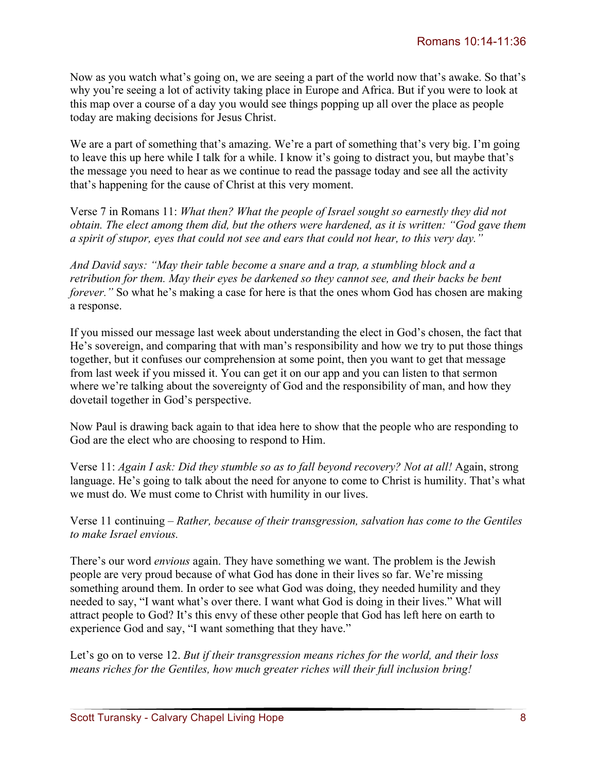Now as you watch what's going on, we are seeing a part of the world now that's awake. So that's why you're seeing a lot of activity taking place in Europe and Africa. But if you were to look at this map over a course of a day you would see things popping up all over the place as people today are making decisions for Jesus Christ.

We are a part of something that's amazing. We're a part of something that's very big. I'm going to leave this up here while I talk for a while. I know it's going to distract you, but maybe that's the message you need to hear as we continue to read the passage today and see all the activity that's happening for the cause of Christ at this very moment.

Verse 7 in Romans 11: *What then? What the people of Israel sought so earnestly they did not obtain. The elect among them did, but the others were hardened, as it is written: "God gave them a spirit of stupor, eyes that could not see and ears that could not hear, to this very day."*

*And David says: "May their table become a snare and a trap, a stumbling block and a retribution for them. May their eyes be darkened so they cannot see, and their backs be bent forever.*" So what he's making a case for here is that the ones whom God has chosen are making a response.

If you missed our message last week about understanding the elect in God's chosen, the fact that He's sovereign, and comparing that with man's responsibility and how we try to put those things together, but it confuses our comprehension at some point, then you want to get that message from last week if you missed it. You can get it on our app and you can listen to that sermon where we're talking about the sovereignty of God and the responsibility of man, and how they dovetail together in God's perspective.

Now Paul is drawing back again to that idea here to show that the people who are responding to God are the elect who are choosing to respond to Him.

Verse 11: *Again I ask: Did they stumble so as to fall beyond recovery? Not at all!* Again, strong language. He's going to talk about the need for anyone to come to Christ is humility. That's what we must do. We must come to Christ with humility in our lives.

Verse 11 continuing – *Rather, because of their transgression, salvation has come to the Gentiles to make Israel envious.*

There's our word *envious* again. They have something we want. The problem is the Jewish people are very proud because of what God has done in their lives so far. We're missing something around them. In order to see what God was doing, they needed humility and they needed to say, "I want what's over there. I want what God is doing in their lives." What will attract people to God? It's this envy of these other people that God has left here on earth to experience God and say, "I want something that they have."

Let's go on to verse 12. *But if their transgression means riches for the world, and their loss means riches for the Gentiles, how much greater riches will their full inclusion bring!*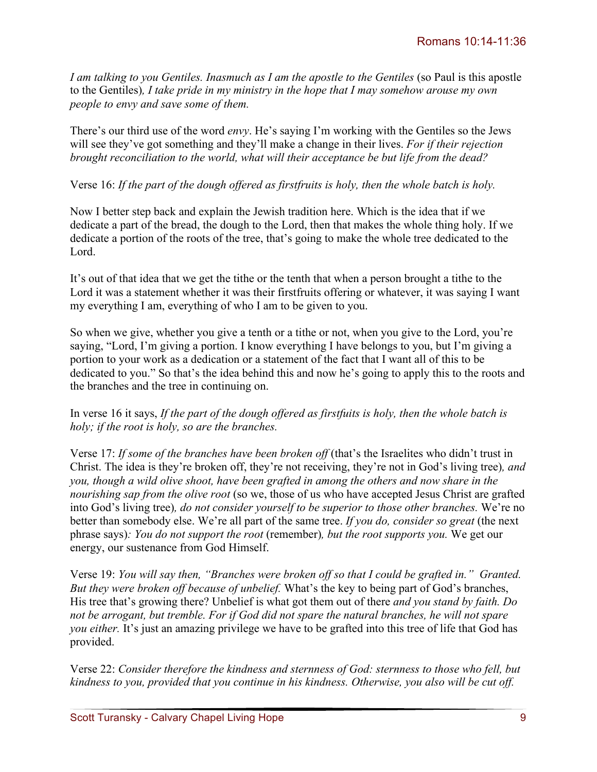*I am talking to you Gentiles. Inasmuch as I am the apostle to the Gentiles* (so Paul is this apostle to the Gentiles)*, I take pride in my ministry in the hope that I may somehow arouse my own people to envy and save some of them.* 

There's our third use of the word *envy*. He's saying I'm working with the Gentiles so the Jews will see they've got something and they'll make a change in their lives. *For if their rejection brought reconciliation to the world, what will their acceptance be but life from the dead?*

## Verse 16: *If the part of the dough offered as firstfruits is holy, then the whole batch is holy.*

Now I better step back and explain the Jewish tradition here. Which is the idea that if we dedicate a part of the bread, the dough to the Lord, then that makes the whole thing holy. If we dedicate a portion of the roots of the tree, that's going to make the whole tree dedicated to the Lord.

It's out of that idea that we get the tithe or the tenth that when a person brought a tithe to the Lord it was a statement whether it was their firstfruits offering or whatever, it was saying I want my everything I am, everything of who I am to be given to you.

So when we give, whether you give a tenth or a tithe or not, when you give to the Lord, you're saying, "Lord, I'm giving a portion. I know everything I have belongs to you, but I'm giving a portion to your work as a dedication or a statement of the fact that I want all of this to be dedicated to you." So that's the idea behind this and now he's going to apply this to the roots and the branches and the tree in continuing on.

In verse 16 it says, *If the part of the dough offered as firstfuits is holy, then the whole batch is holy; if the root is holy, so are the branches.*

Verse 17: *If some of the branches have been broken off* (that's the Israelites who didn't trust in Christ. The idea is they're broken off, they're not receiving, they're not in God's living tree)*, and you, though a wild olive shoot, have been grafted in among the others and now share in the nourishing sap from the olive root* (so we, those of us who have accepted Jesus Christ are grafted into God's living tree)*, do not consider yourself to be superior to those other branches.* We're no better than somebody else. We're all part of the same tree. *If you do, consider so great* (the next phrase says)*: You do not support the root* (remember)*, but the root supports you.* We get our energy, our sustenance from God Himself.

Verse 19: *You will say then, "Branches were broken off so that I could be grafted in." Granted. But they were broken off because of unbelief.* What's the key to being part of God's branches, His tree that's growing there? Unbelief is what got them out of there *and you stand by faith. Do not be arrogant, but tremble. For if God did not spare the natural branches, he will not spare you either.* It's just an amazing privilege we have to be grafted into this tree of life that God has provided.

Verse 22: *Consider therefore the kindness and sternness of God: sternness to those who fell, but kindness to you, provided that you continue in his kindness. Otherwise, you also will be cut off.*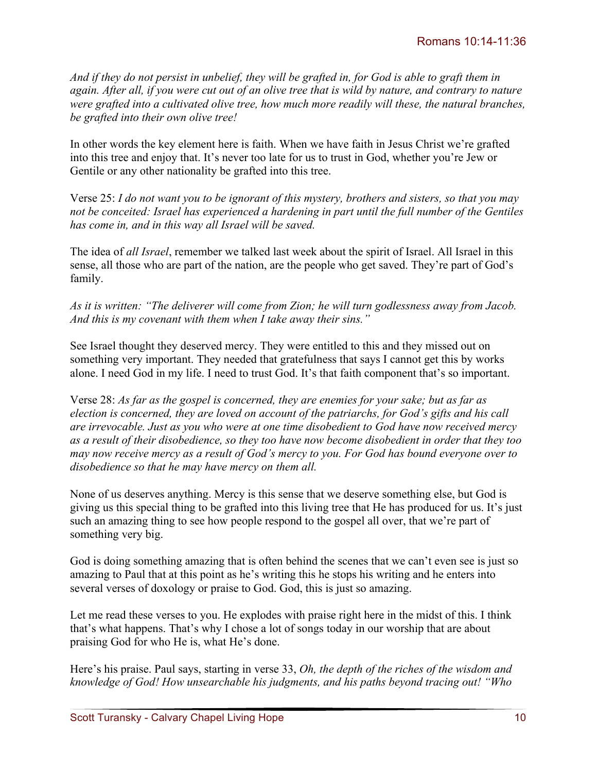*And if they do not persist in unbelief, they will be grafted in, for God is able to graft them in again. After all, if you were cut out of an olive tree that is wild by nature, and contrary to nature were grafted into a cultivated olive tree, how much more readily will these, the natural branches, be grafted into their own olive tree!*

In other words the key element here is faith. When we have faith in Jesus Christ we're grafted into this tree and enjoy that. It's never too late for us to trust in God, whether you're Jew or Gentile or any other nationality be grafted into this tree.

Verse 25: *I do not want you to be ignorant of this mystery, brothers and sisters, so that you may not be conceited: Israel has experienced a hardening in part until the full number of the Gentiles has come in, and in this way all Israel will be saved.* 

The idea of *all Israel*, remember we talked last week about the spirit of Israel. All Israel in this sense, all those who are part of the nation, are the people who get saved. They're part of God's family.

*As it is written: "The deliverer will come from Zion; he will turn godlessness away from Jacob. And this is my covenant with them when I take away their sins."*

See Israel thought they deserved mercy. They were entitled to this and they missed out on something very important. They needed that gratefulness that says I cannot get this by works alone. I need God in my life. I need to trust God. It's that faith component that's so important.

Verse 28: *As far as the gospel is concerned, they are enemies for your sake; but as far as election is concerned, they are loved on account of the patriarchs, for God's gifts and his call are irrevocable. Just as you who were at one time disobedient to God have now received mercy as a result of their disobedience, so they too have now become disobedient in order that they too may now receive mercy as a result of God's mercy to you. For God has bound everyone over to disobedience so that he may have mercy on them all.*

None of us deserves anything. Mercy is this sense that we deserve something else, but God is giving us this special thing to be grafted into this living tree that He has produced for us. It's just such an amazing thing to see how people respond to the gospel all over, that we're part of something very big.

God is doing something amazing that is often behind the scenes that we can't even see is just so amazing to Paul that at this point as he's writing this he stops his writing and he enters into several verses of doxology or praise to God. God, this is just so amazing.

Let me read these verses to you. He explodes with praise right here in the midst of this. I think that's what happens. That's why I chose a lot of songs today in our worship that are about praising God for who He is, what He's done.

Here's his praise. Paul says, starting in verse 33, *Oh, the depth of the riches of the wisdom and knowledge of God! How unsearchable his judgments, and his paths beyond tracing out! "Who*